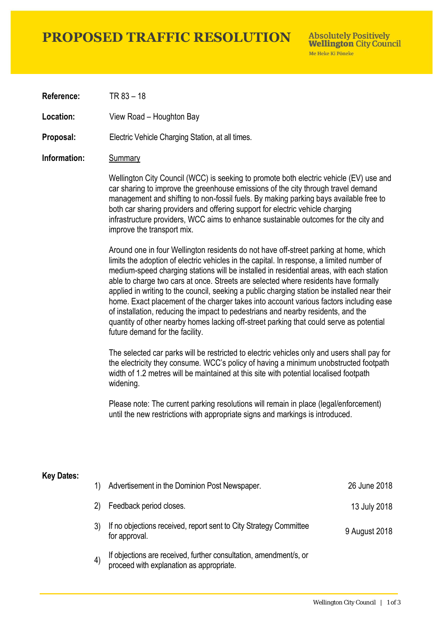### **PROPOSED TRAFFIC RESOLUTION**

**Absolutely Positively Wellington City Council** Me Heke Ki Pôneke

**Reference:** TR 83 – 18

**Location:** View Road – Houghton Bay

**Proposal:** Electric Vehicle Charging Station, at all times.

#### **Information:** Summary

Wellington City Council (WCC) is seeking to promote both electric vehicle (EV) use and car sharing to improve the greenhouse emissions of the city through travel demand management and shifting to non-fossil fuels. By making parking bays available free to both car sharing providers and offering support for electric vehicle charging infrastructure providers, WCC aims to enhance sustainable outcomes for the city and improve the transport mix.

Around one in four Wellington residents do not have off-street parking at home, which limits the adoption of electric vehicles in the capital. In response, a limited number of medium-speed charging stations will be installed in residential areas, with each station able to charge two cars at once. Streets are selected where residents have formally applied in writing to the council, seeking a public charging station be installed near their home. Exact placement of the charger takes into account various factors including ease of installation, reducing the impact to pedestrians and nearby residents, and the quantity of other nearby homes lacking off-street parking that could serve as potential future demand for the facility.

The selected car parks will be restricted to electric vehicles only and users shall pay for the electricity they consume. WCC's policy of having a minimum unobstructed footpath width of 1.2 metres will be maintained at this site with potential localised footpath widening.

Please note: The current parking resolutions will remain in place (legal/enforcement) until the new restrictions with appropriate signs and markings is introduced.

#### **Key Dates:**

| 1) | Advertisement in the Dominion Post Newspaper.                                                                 | 26 June 2018  |
|----|---------------------------------------------------------------------------------------------------------------|---------------|
| 2) | Feedback period closes.                                                                                       | 13 July 2018  |
|    | If no objections received, report sent to City Strategy Committee<br>for approval.                            | 9 August 2018 |
| 4) | If objections are received, further consultation, amendment/s, or<br>proceed with explanation as appropriate. |               |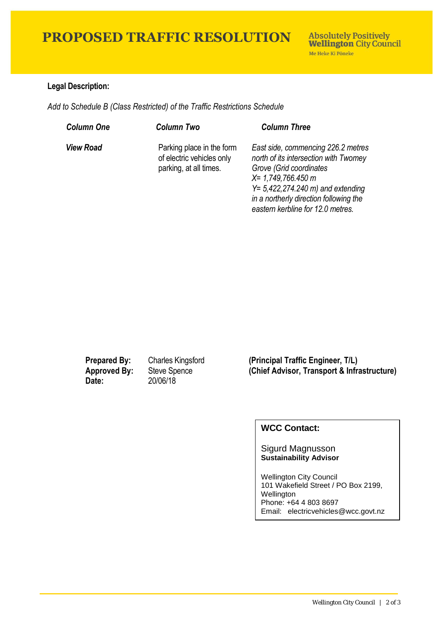## **PROPOSED TRAFFIC RESOLUTION**

### **Legal Description:**

*Add to Schedule B (Class Restricted) of the Traffic Restrictions Schedule* 

| <b>Column One</b> | <b>Column Two</b>                                                                | <b>Column Three</b>                                                                                                                                                                                                                                    |
|-------------------|----------------------------------------------------------------------------------|--------------------------------------------------------------------------------------------------------------------------------------------------------------------------------------------------------------------------------------------------------|
| <b>View Road</b>  | Parking place in the form<br>of electric vehicles only<br>parking, at all times. | East side, commencing 226.2 metres<br>north of its intersection with Twomey<br>Grove (Grid coordinates<br>$X = 1,749,766.450 m$<br>$Y = 5,422,274.240$ m) and extending<br>in a northerly direction following the<br>eastern kerbline for 12.0 metres. |

**Date:** 20/06/18

**Prepared By:** Charles Kingsford **(Principal Traffic Engineer, T/L) Approved By:** Steve Spence **(Chief Advisor, Transport & Infrastructure)**

### **WCC Contact:**

Sigurd Magnusson **Sustainability Advisor**

Wellington City Council 101 Wakefield Street / PO Box 2199, Wellington Phone: +64 4 803 8697 Email: electricvehicles@wcc.govt.nz